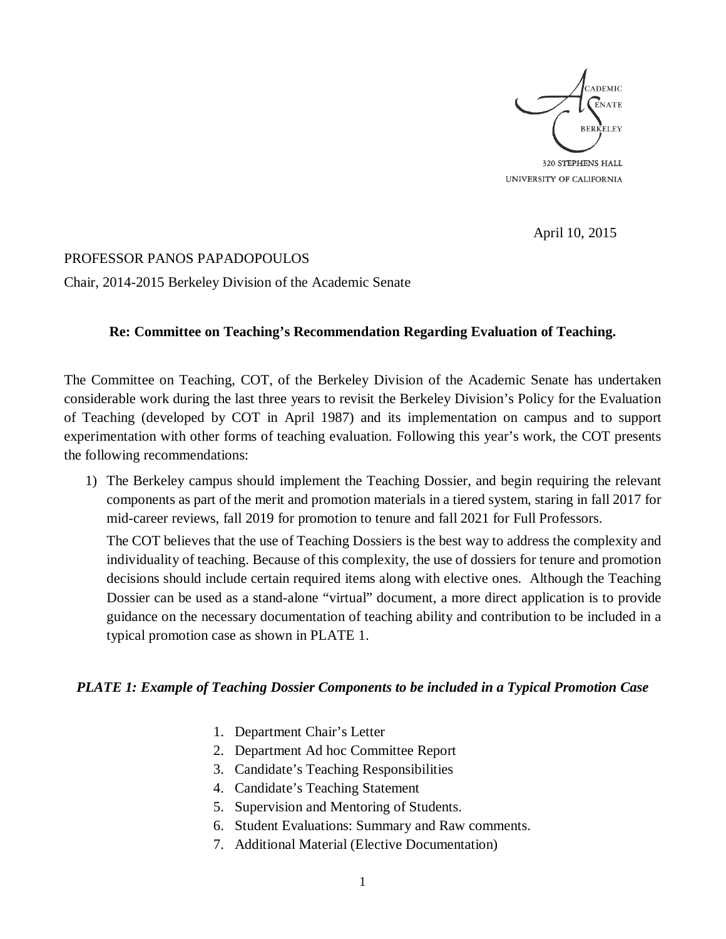

April 10, 2015

## PROFESSOR PANOS PAPADOPOULOS

Chair, 2014-2015 Berkeley Division of the Academic Senate

## **Re: Committee on Teaching's Recommendation Regarding Evaluation of Teaching.**

The Committee on Teaching, COT, of the Berkeley Division of the Academic Senate has undertaken considerable work during the last three years to revisit the Berkeley Division's Policy for the Evaluation of Teaching (developed by COT in April 1987) and its implementation on campus and to support experimentation with other forms of teaching evaluation. Following this year's work, the COT presents the following recommendations:

1) The Berkeley campus should implement the Teaching Dossier, and begin requiring the relevant components as part of the merit and promotion materials in a tiered system, staring in fall 2017 for mid-career reviews, fall 2019 for promotion to tenure and fall 2021 for Full Professors.

The COT believes that the use of Teaching Dossiers is the best way to address the complexity and individuality of teaching. Because of this complexity, the use of dossiers for tenure and promotion decisions should include certain required items along with elective ones. Although the Teaching Dossier can be used as a stand-alone "virtual" document, a more direct application is to provide guidance on the necessary documentation of teaching ability and contribution to be included in a typical promotion case as shown in PLATE 1.

## *PLATE 1: Example of Teaching Dossier Components to be included in a Typical Promotion Case*

- 1. Department Chair's Letter
- 2. Department Ad hoc Committee Report
- 3. Candidate's Teaching Responsibilities
- 4. Candidate's Teaching Statement
- 5. Supervision and Mentoring of Students.
- 6. Student Evaluations: Summary and Raw comments.
- 7. Additional Material (Elective Documentation)